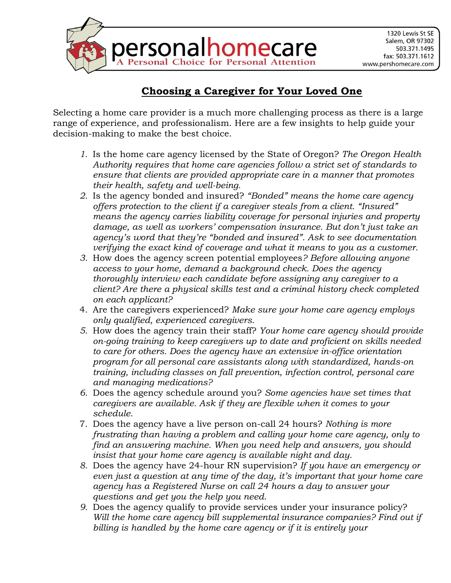

## **Choosing a Caregiver for Your Loved One**

Selecting a home care provider is a much more challenging process as there is a large range of experience, and professionalism. Here are a few insights to help guide your decision-making to make the best choice.

- *1.* Is the home care agency licensed by the State of Oregon? *The Oregon Health Authority requires that home care agencies follow a strict set of standards to ensure that clients are provided appropriate care in a manner that promotes their health, safety and well-being.*
- *2.* Is the agency bonded and insured? *"Bonded" means the home care agency offers protection to the client if a caregiver steals from a client. "Insured" means the agency carries liability coverage for personal injuries and property damage, as well as workers' compensation insurance. But don't just take an agency's word that they're "bonded and insured". Ask to see documentation verifying the exact kind of coverage and what it means to you as a customer.*
- *3.* How does the agency screen potential employees*? Before allowing anyone access to your home, demand a background check. Does the agency thoroughly interview each candidate before assigning any caregiver to a client? Are there a physical skills test and a criminal history check completed on each applicant?*
- 4. Are the caregivers experienced? *Make sure your home care agency employs only qualified, experienced caregivers.*
- *5.* How does the agency train their staff? *Your home care agency should provide on-going training to keep caregivers up to date and proficient on skills needed to care for others. Does the agency have an extensive in-office orientation program for all personal care assistants along with standardized, hands-on training, including classes on fall prevention, infection control, personal care and managing medications?*
- *6.* Does the agency schedule around you? *Some agencies have set times that caregivers are available. Ask if they are flexible when it comes to your schedule.*
- 7. Does the agency have a live person on-call 24 hours? *Nothing is more frustrating than having a problem and calling your home care agency, only to find an answering machine. When you need help and answers, you should insist that your home care agency is available night and day.*
- *8.* Does the agency have 24-hour RN supervision? *If you have an emergency or even just a question at any time of the day, it's important that your home care agency has a Registered Nurse on call 24 hours a day to answer your questions and get you the help you need.*
- *9.* Does the agency qualify to provide services under your insurance policy? *Will the home care agency bill supplemental insurance companies? Find out if billing is handled by the home care agency or if it is entirely your*